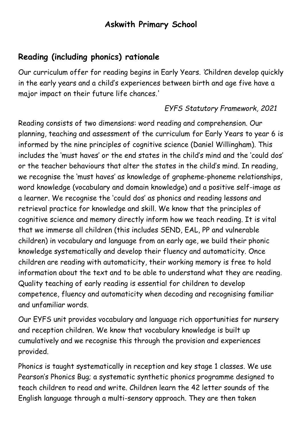# **Askwith Primary School**

# **Reading (including phonics) rationale**

Our curriculum offer for reading begins in Early Years. *'*Children develop quickly in the early years and a child's experiences between birth and age five have a major impact on their future life chances.'

#### *EYFS Statutory Framework, 2021*

Reading consists of two dimensions: word reading and comprehension. Our planning, teaching and assessment of the curriculum for Early Years to year 6 is informed by the nine principles of cognitive science (Daniel Willingham). This includes the 'must haves' or the end states in the child's mind and the 'could dos' or the teacher behaviours that alter the states in the child's mind. In reading, we recognise the 'must haves' as knowledge of grapheme-phoneme relationships, word knowledge (vocabulary and domain knowledge) and a positive self-image as a learner. We recognise the 'could dos' as phonics and reading lessons and retrieval practice for knowledge and skill. We know that the principles of cognitive science and memory directly inform how we teach reading. It is vital that we immerse all children (this includes SEND, EAL, PP and vulnerable children) in vocabulary and language from an early age, we build their phonic knowledge systematically and develop their fluency and automaticity. Once children are reading with automaticity, their working memory is free to hold information about the text and to be able to understand what they are reading. Quality teaching of early reading is essential for children to develop competence, fluency and automaticity when decoding and recognising familiar and unfamiliar words.

Our EYFS unit provides vocabulary and language rich opportunities for nursery and reception children. We know that vocabulary knowledge is built up cumulatively and we recognise this through the provision and experiences provided.

Phonics is taught systematically in reception and key stage 1 classes. We use Pearson's Phonics Bug; a systematic synthetic phonics programme designed to teach children to read and write. Children learn the 42 letter sounds of the English language through a multi-sensory approach. They are then taken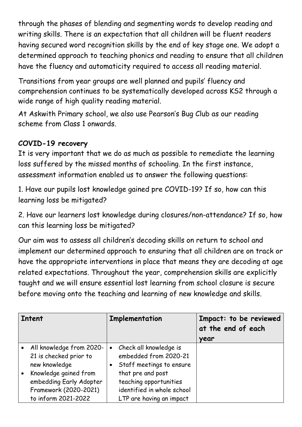through the phases of blending and segmenting words to develop reading and writing skills. There is an expectation that all children will be fluent readers having secured word recognition skills by the end of key stage one. We adopt a determined approach to teaching phonics and reading to ensure that all children have the fluency and automaticity required to access all reading material.

Transitions from year groups are well planned and pupils' fluency and comprehension continues to be systematically developed across KS2 through a wide range of high quality reading material.

At Askwith Primary school, we also use Pearson's Bug Club as our reading scheme from Class 1 onwards.

### **COVID-19 recovery**

It is very important that we do as much as possible to remediate the learning loss suffered by the missed months of schooling. In the first instance, assessment information enabled us to answer the following questions:

1. Have our pupils lost knowledge gained pre COVID-19? If so, how can this learning loss be mitigated?

2. Have our learners lost knowledge during closures/non-attendance? If so, how can this learning loss be mitigated?

Our aim was to assess all children's decoding skills on return to school and implement our determined approach to ensuring that all children are on track or have the appropriate interventions in place that means they are decoding at age related expectations. Throughout the year, comprehension skills are explicitly taught and we will ensure essential lost learning from school closure is secure before moving onto the teaching and learning of new knowledge and skills.

| <b>Intent</b> |                            | Implementation |                            | Impact: to be reviewed<br>at the end of each |
|---------------|----------------------------|----------------|----------------------------|----------------------------------------------|
|               |                            |                |                            | year                                         |
|               | • All knowledge from 2020- | $\bullet$      | Check all knowledge is     |                                              |
|               | 21 is checked prior to     |                | embedded from 2020-21      |                                              |
|               | new knowledge              |                | Staff meetings to ensure   |                                              |
|               | Knowledge gained from      |                | that pre and post          |                                              |
|               | embedding Early Adopter    |                | teaching opportunities     |                                              |
|               | Framework (2020-2021)      |                | identified in whole school |                                              |
|               | to inform 2021-2022        |                | LTP are having an impact   |                                              |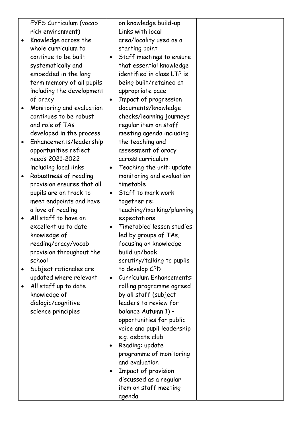EYFS Curriculum (vocab rich environment)

- Knowledge across the whole curriculum to continue to be built systematically and embedded in the long term memory of all pupils including the development of oracy
- Monitoring and evaluation continues to be robust and role of TAs developed in the process
- Enhancements/leadership opportunities reflect needs 2021-2022 including local links
- Robustness of reading provision ensures that all pupils are on track to meet endpoints and have a love of reading
- **All** staff to have an excellent up to date knowledge of reading/oracy/vocab provision throughout the school
- Subject rationales are updated where relevant
- All staff up to date knowledge of dialogic/cognitive science principles

on knowledge build-up. Links with local area/locality used as a starting point

- Staff meetings to ensure that essential knowledge identified in class LTP is being built/retained at appropriate pace
- Impact of progression documents/knowledge checks/learning journeys regular item on staff meeting agenda including the teaching and assessment of oracy across curriculum
- Teaching the unit: update monitoring and evaluation timetable
- Staff to mark work together re: teaching/marking/planning expectations
- Timetabled lesson studies led by groups of TAs, focusing on knowledge build up/book scrutiny/talking to pupils to develop CPD
- Curriculum Enhancements: rolling programme agreed by all staff (subject leaders to review for balance Autumn 1) – opportunities for public voice and pupil leadership e.g. debate club
- Reading: update programme of monitoring and evaluation
- Impact of provision discussed as a regular item on staff meeting agenda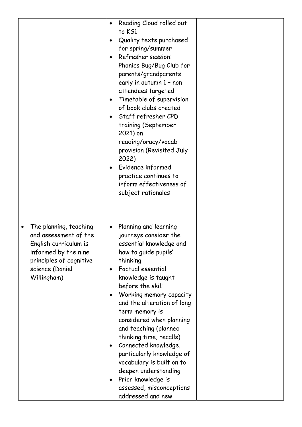|                                                                                                                                                                            | Reading Cloud rolled out<br>to KS1<br>Quality texts purchased<br>$\bullet$<br>for spring/summer<br>Refresher session:<br>Phonics Bug/Bug Club for<br>parents/grandparents<br>early in autumn 1 - non<br>attendees targeted<br>Timetable of supervision<br>٠<br>of book clubs created<br>Staff refresher CPD<br>$\bullet$<br>training (September<br>2021) on<br>reading/oracy/vocab<br>provision (Revisited July<br>2022)<br>Evidence informed<br>practice continues to<br>inform effectiveness of<br>subject rationales             |
|----------------------------------------------------------------------------------------------------------------------------------------------------------------------------|-------------------------------------------------------------------------------------------------------------------------------------------------------------------------------------------------------------------------------------------------------------------------------------------------------------------------------------------------------------------------------------------------------------------------------------------------------------------------------------------------------------------------------------|
| The planning, teaching<br>$\bullet$<br>and assessment of the<br>English curriculum is<br>informed by the nine<br>principles of cognitive<br>science (Daniel<br>Willingham) | Planning and learning<br>journeys consider the<br>essential knowledge and<br>how to guide pupils'<br>thinking<br>Factual essential<br>knowledge is taught<br>before the skill<br>Working memory capacity<br>٠<br>and the alteration of long<br>term memory is<br>considered when planning<br>and teaching (planned<br>thinking time, recalls)<br>Connected knowledge,<br>٠<br>particularly knowledge of<br>vocabulary is built on to<br>deepen understanding<br>Prior knowledge is<br>assessed, misconceptions<br>addressed and new |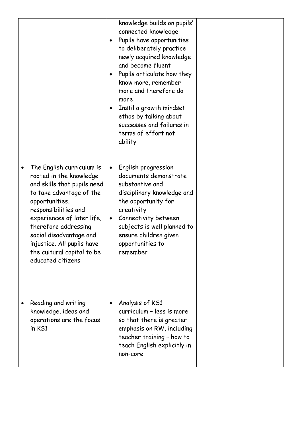|                                                                                                                                                                                                                                                                                                                                          | knowledge builds on pupils'<br>connected knowledge<br>Pupils have opportunities<br>$\bullet$<br>to deliberately practice<br>newly acquired knowledge<br>and become fluent<br>Pupils articulate how they<br>$\bullet$<br>know more, remember<br>more and therefore do<br>more<br>Instil a growth mindset<br>٠<br>ethos by talking about<br>successes and failures in<br>terms of effort not<br>ability |  |
|------------------------------------------------------------------------------------------------------------------------------------------------------------------------------------------------------------------------------------------------------------------------------------------------------------------------------------------|-------------------------------------------------------------------------------------------------------------------------------------------------------------------------------------------------------------------------------------------------------------------------------------------------------------------------------------------------------------------------------------------------------|--|
| The English curriculum is<br>$\bullet$<br>rooted in the knowledge<br>and skills that pupils need<br>to take advantage of the<br>opportunities,<br>responsibilities and<br>experiences of later life,<br>therefore addressing<br>social disadvantage and<br>injustice. All pupils have<br>the cultural capital to be<br>educated citizens | English progression<br>$\bullet$<br>documents demonstrate<br>substantive and<br>disciplinary knowledge and<br>the opportunity for<br>creativity<br>Connectivity between<br>$\bullet$<br>subjects is well planned to<br>ensure children given<br>opportunities to<br>remember                                                                                                                          |  |
| Reading and writing<br>knowledge, ideas and<br>operations are the focus<br>in KS1                                                                                                                                                                                                                                                        | Analysis of KS1<br>$\bullet$<br>curriculum - less is more<br>so that there is greater<br>emphasis on RW, including<br>teacher training - how to<br>teach English explicitly in<br>non-core                                                                                                                                                                                                            |  |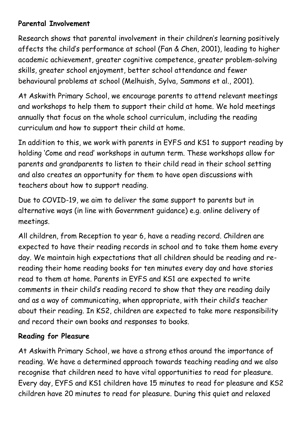## **Parental Involvement**

Research shows that parental involvement in their children's learning positively affects the child's performance at school (Fan & Chen, 2001), leading to higher academic achievement, greater cognitive competence, greater problem-solving skills, greater school enjoyment, better school attendance and fewer behavioural problems at school (Melhuish, Sylva, Sammons et al., 2001).

At Askwith Primary School, we encourage parents to attend relevant meetings and workshops to help them to support their child at home. We hold meetings annually that focus on the whole school curriculum, including the reading curriculum and how to support their child at home.

In addition to this, we work with parents in EYFS and KS1 to support reading by holding 'Come and read' workshops in autumn term. These workshops allow for parents and grandparents to listen to their child read in their school setting and also creates an opportunity for them to have open discussions with teachers about how to support reading.

Due to COVID-19, we aim to deliver the same support to parents but in alternative ways (in line with Government guidance) e.g. online delivery of meetings.

All children, from Reception to year 6, have a reading record. Children are expected to have their reading records in school and to take them home every day. We maintain high expectations that all children should be reading and rereading their home reading books for ten minutes every day and have stories read to them at home. Parents in EYFS and KS1 are expected to write comments in their child's reading record to show that they are reading daily and as a way of communicating, when appropriate, with their child's teacher about their reading. In KS2, children are expected to take more responsibility and record their own books and responses to books.

# **Reading for Pleasure**

At Askwith Primary School, we have a strong ethos around the importance of reading. We have a determined approach towards teaching reading and we also recognise that children need to have vital opportunities to read for pleasure. Every day, EYFS and KS1 children have 15 minutes to read for pleasure and KS2 children have 20 minutes to read for pleasure. During this quiet and relaxed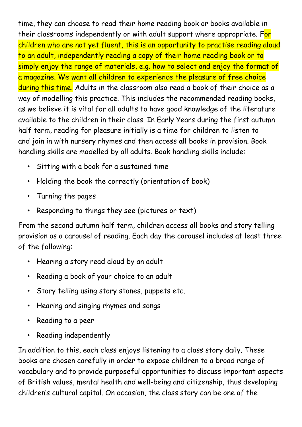time, they can choose to read their home reading book or books available in their classrooms independently or with adult support where appropriate. For children who are not yet fluent, this is an opportunity to practise reading aloud to an adult, independently reading a copy of their home reading book or to simply enjoy the range of materials, e.g. how to select and enjoy the format of a magazine. We want all children to experience the pleasure of free choice during this time. Adults in the classroom also read a book of their choice as a way of modelling this practice. This includes the recommended reading books, as we believe it is vital for all adults to have good knowledge of the literature available to the children in their class. In Early Years during the first autumn half term, reading for pleasure initially is a time for children to listen to and join in with nursery rhymes and then access **all** books in provision. Book handling skills are modelled by all adults. Book handling skills include:

- Sitting with a book for a sustained time
- Holding the book the correctly (orientation of book)
- Turning the pages
- Responding to things they see (pictures or text)

From the second autumn half term, children access all books and story telling provision as a carousel of reading. Each day the carousel includes at least three of the following:

- Hearing a story read aloud by an adult
- Reading a book of your choice to an adult
- Story telling using story stones, puppets etc.
- Hearing and singing rhymes and songs
- Reading to a peer
- Reading independently

In addition to this, each class enjoys listening to a class story daily. These books are chosen carefully in order to expose children to a broad range of vocabulary and to provide purposeful opportunities to discuss important aspects of British values, mental health and well-being and citizenship, thus developing children's cultural capital. On occasion, the class story can be one of the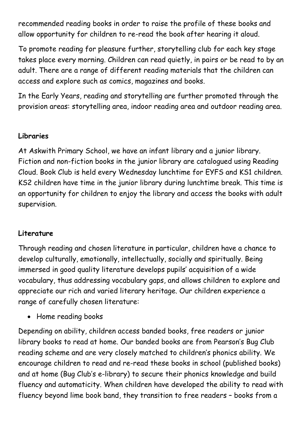recommended reading books in order to raise the profile of these books and allow opportunity for children to re-read the book after hearing it aloud.

To promote reading for pleasure further, storytelling club for each key stage takes place every morning. Children can read quietly, in pairs or be read to by an adult. There are a range of different reading materials that the children can access and explore such as comics, magazines and books.

In the Early Years, reading and storytelling are further promoted through the provision areas: storytelling area, indoor reading area and outdoor reading area.

#### **Libraries**

At Askwith Primary School, we have an infant library and a junior library. Fiction and non-fiction books in the junior library are catalogued using Reading Cloud. Book Club is held every Wednesday lunchtime for EYFS and KS1 children. KS2 children have time in the junior library during lunchtime break. This time is an opportunity for children to enjoy the library and access the books with adult supervision.

#### **Literature**

Through reading and chosen literature in particular, children have a chance to develop culturally, emotionally, intellectually, socially and spiritually. Being immersed in good quality literature develops pupils' acquisition of a wide vocabulary, thus addressing vocabulary gaps, and allows children to explore and appreciate our rich and varied literary heritage. Our children experience a range of carefully chosen literature:

• Home reading books

Depending on ability, children access banded books, free readers or junior library books to read at home. Our banded books are from Pearson's Bug Club reading scheme and are very closely matched to children's phonics ability. We encourage children to read and re-read these books in school (published books) and at home (Bug Club's e-library) to secure their phonics knowledge and build fluency and automaticity. When children have developed the ability to read with fluency beyond lime book band, they transition to free readers – books from a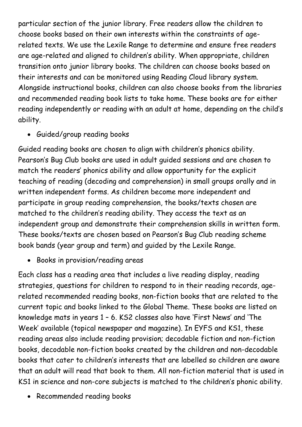particular section of the junior library. Free readers allow the children to choose books based on their own interests within the constraints of agerelated texts. We use the Lexile Range to determine and ensure free readers are age-related and aligned to children's ability. When appropriate, children transition onto junior library books. The children can choose books based on their interests and can be monitored using Reading Cloud library system. Alongside instructional books, children can also choose books from the libraries and recommended reading book lists to take home. These books are for either reading independently or reading with an adult at home, depending on the child's ability.

Guided/group reading books

Guided reading books are chosen to align with children's phonics ability. Pearson's Bug Club books are used in adult guided sessions and are chosen to match the readers' phonics ability and allow opportunity for the explicit teaching of reading (decoding and comprehension) in small groups orally and in written independent forms. As children become more independent and participate in group reading comprehension, the books/texts chosen are matched to the children's reading ability. They access the text as an independent group and demonstrate their comprehension skills in written form. These books/texts are chosen based on Pearson's Bug Club reading scheme book bands (year group and term) and guided by the Lexile Range.

Books in provision/reading areas

Each class has a reading area that includes a live reading display, reading strategies, questions for children to respond to in their reading records, agerelated recommended reading books, non-fiction books that are related to the current topic and books linked to the Global Theme. These books are listed on knowledge mats in years 1 – 6. KS2 classes also have 'First News' and 'The Week' available (topical newspaper and magazine). In EYFS and KS1, these reading areas also include reading provision; decodable fiction and non-fiction books, decodable non-fiction books created by the children and non-decodable books that cater to children's interests that are labelled so children are aware that an adult will read that book to them. All non-fiction material that is used in KS1 in science and non-core subjects is matched to the children's phonic ability.

• Recommended reading books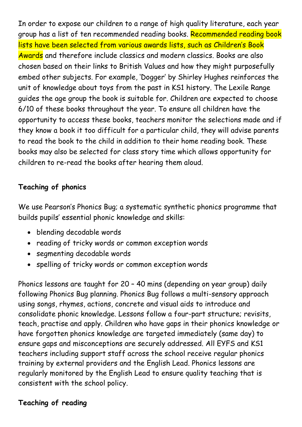In order to expose our children to a range of high quality literature, each year group has a list of ten recommended reading books. Recommended reading book lists have been selected from various awards lists, such as Children's Book Awards and therefore include classics and modern classics. Books are also chosen based on their links to British Values and how they might purposefully embed other subjects. For example, 'Dogger' by Shirley Hughes reinforces the unit of knowledge about toys from the past in KS1 history. The Lexile Range guides the age group the book is suitable for. Children are expected to choose 6/10 of these books throughout the year. To ensure all children have the opportunity to access these books, teachers monitor the selections made and if they know a book it too difficult for a particular child, they will advise parents to read the book to the child in addition to their home reading book. These books may also be selected for class story time which allows opportunity for children to re-read the books after hearing them aloud.

### **Teaching of phonics**

We use Pearson's Phonics Bug; a systematic synthetic phonics programme that builds pupils' essential phonic knowledge and skills:

- blending decodable words
- reading of tricky words or common exception words
- segmenting decodable words
- spelling of tricky words or common exception words

Phonics lessons are taught for 20 – 40 mins (depending on year group) daily following Phonics Bug planning. Phonics Bug follows a multi-sensory approach using songs, rhymes, actions, concrete and visual aids to introduce and consolidate phonic knowledge. Lessons follow a four-part structure; revisits, teach, practise and apply. Children who have gaps in their phonics knowledge or have forgotten phonics knowledge are targeted immediately (same day) to ensure gaps and misconceptions are securely addressed. All EYFS and KS1 teachers including support staff across the school receive regular phonics training by external providers and the English Lead. Phonics lessons are regularly monitored by the English Lead to ensure quality teaching that is consistent with the school policy.

#### **Teaching of reading**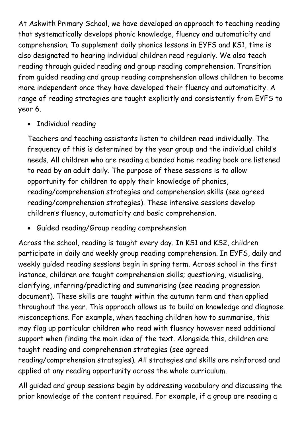At Askwith Primary School, we have developed an approach to teaching reading that systematically develops phonic knowledge, fluency and automaticity and comprehension. To supplement daily phonics lessons in EYFS and KS1, time is also designated to hearing individual children read regularly. We also teach reading through guided reading and group reading comprehension. Transition from guided reading and group reading comprehension allows children to become more independent once they have developed their fluency and automaticity. A range of reading strategies are taught explicitly and consistently from EYFS to year 6.

• Individual reading

Teachers and teaching assistants listen to children read individually. The frequency of this is determined by the year group and the individual child's needs. All children who are reading a banded home reading book are listened to read by an adult daily. The purpose of these sessions is to allow opportunity for children to apply their knowledge of phonics, reading/comprehension strategies and comprehension skills (see agreed reading/comprehension strategies). These intensive sessions develop children's fluency, automaticity and basic comprehension.

Guided reading/Group reading comprehension

Across the school, reading is taught every day. In KS1 and KS2, children participate in daily and weekly group reading comprehension. In EYFS, daily and weekly guided reading sessions begin in spring term. Across school in the first instance, children are taught comprehension skills; questioning, visualising, clarifying, inferring/predicting and summarising (see reading progression document). These skills are taught within the autumn term and then applied throughout the year. This approach allows us to build on knowledge and diagnose misconceptions. For example, when teaching children how to summarise, this may flag up particular children who read with fluency however need additional support when finding the main idea of the text. Alongside this, children are taught reading and comprehension strategies (see agreed reading/comprehension strategies). All strategies and skills are reinforced and applied at any reading opportunity across the whole curriculum.

All guided and group sessions begin by addressing vocabulary and discussing the prior knowledge of the content required. For example, if a group are reading a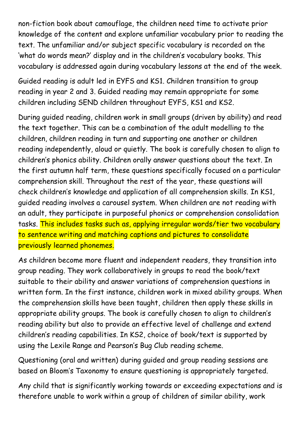non-fiction book about camouflage, the children need time to activate prior knowledge of the content and explore unfamiliar vocabulary prior to reading the text. The unfamiliar and/or subject specific vocabulary is recorded on the 'what do words mean?' display and in the children's vocabulary books. This vocabulary is addressed again during vocabulary lessons at the end of the week.

Guided reading is adult led in EYFS and KS1. Children transition to group reading in year 2 and 3. Guided reading may remain appropriate for some children including SEND children throughout EYFS, KS1 and KS2.

During guided reading, children work in small groups (driven by ability) and read the text together. This can be a combination of the adult modelling to the children, children reading in turn and supporting one another or children reading independently, aloud or quietly. The book is carefully chosen to align to children's phonics ability. Children orally answer questions about the text. In the first autumn half term, these questions specifically focused on a particular comprehension skill. Throughout the rest of the year, these questions will check children's knowledge and application of all comprehension skills. In KS1, guided reading involves a carousel system. When children are not reading with an adult, they participate in purposeful phonics or comprehension consolidation tasks. This includes tasks such as, applying irregular words/tier two vocabulary to sentence writing and matching captions and pictures to consolidate previously learned phonemes.

As children become more fluent and independent readers, they transition into group reading. They work collaboratively in groups to read the book/text suitable to their ability and answer variations of comprehension questions in written form. In the first instance, children work in mixed ability groups. When the comprehension skills have been taught, children then apply these skills in appropriate ability groups. The book is carefully chosen to align to children's reading ability but also to provide an effective level of challenge and extend children's reading capabilities. In KS2, choice of book/text is supported by using the Lexile Range and Pearson's Bug Club reading scheme.

Questioning (oral and written) during guided and group reading sessions are based on Bloom's Taxonomy to ensure questioning is appropriately targeted.

Any child that is significantly working towards or exceeding expectations and is therefore unable to work within a group of children of similar ability, work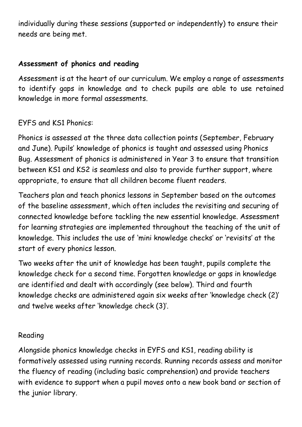individually during these sessions (supported or independently) to ensure their needs are being met.

### **Assessment of phonics and reading**

Assessment is at the heart of our curriculum. We employ a range of assessments to identify gaps in knowledge and to check pupils are able to use retained knowledge in more formal assessments.

## EYFS and KS1 Phonics:

Phonics is assessed at the three data collection points (September, February and June). Pupils' knowledge of phonics is taught and assessed using Phonics Bug. Assessment of phonics is administered in Year 3 to ensure that transition between KS1 and KS2 is seamless and also to provide further support, where appropriate, to ensure that all children become fluent readers.

Teachers plan and teach phonics lessons in September based on the outcomes of the baseline assessment, which often includes the revisiting and securing of connected knowledge before tackling the new essential knowledge. Assessment for learning strategies are implemented throughout the teaching of the unit of knowledge. This includes the use of 'mini knowledge checks' or 'revisits' at the start of every phonics lesson.

Two weeks after the unit of knowledge has been taught, pupils complete the knowledge check for a second time. Forgotten knowledge or gaps in knowledge are identified and dealt with accordingly (see below). Third and fourth knowledge checks are administered again six weeks after 'knowledge check (2)' and twelve weeks after 'knowledge check (3)'.

### Reading

Alongside phonics knowledge checks in EYFS and KS1, reading ability is formatively assessed using running records. Running records assess and monitor the fluency of reading (including basic comprehension) and provide teachers with evidence to support when a pupil moves onto a new book band or section of the junior library.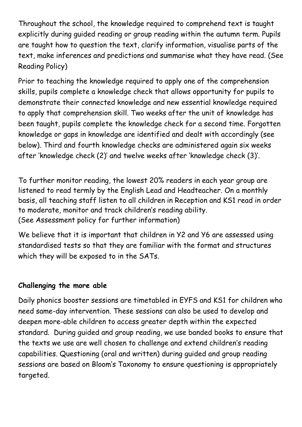Throughout the school, the knowledge required to comprehend text is taught explicitly during guided reading or group reading within the autumn term. Pupils are taught how to question the text, clarify information, visualise parts of the text, make inferences and predictions and summarise what they have read. (See Reading Policy)

Prior to teaching the knowledge required to apply one of the comprehension skills, pupils complete a knowledge check that allows opportunity for pupils to demonstrate their connected knowledge and new essential knowledge required to apply that comprehension skill. Two weeks after the unit of knowledge has been taught, pupils complete the knowledge check for a second time. Forgotten knowledge or gaps in knowledge are identified and dealt with accordingly (see below). Third and fourth knowledge checks are administered again six weeks after 'knowledge check (2)' and twelve weeks after 'knowledge check (3)'.

To further monitor reading, the lowest 20% readers in each year group are listened to read termly by the English Lead and Headteacher. On a monthly basis, all teaching staff listen to all children in Reception and KS1 read in order to moderate, monitor and track children's reading ability. (See Assessment policy for further information)

We believe that it is important that children in Y2 and Y6 are assessed using standardised tests so that they are familiar with the format and structures which they will be exposed to in the SATs.

### **Challenging the more able**

Daily phonics booster sessions are timetabled in EYFS and KS1 for children who need same-day intervention. These sessions can also be used to develop and deepen more-able children to access greater depth within the expected standard. During guided and group reading, we use banded books to ensure that the texts we use are well chosen to challenge and extend children's reading capabilities. Questioning (oral and written) during guided and group reading sessions are based on Bloom's Taxonomy to ensure questioning is appropriately targeted.